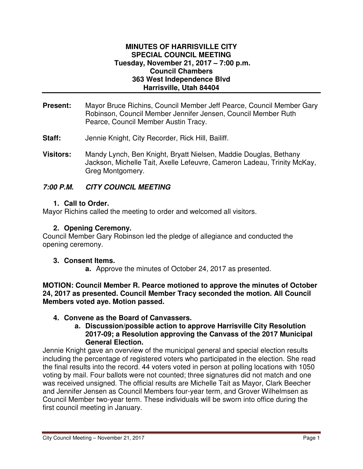## **MINUTES OF HARRISVILLE CITY SPECIAL COUNCIL MEETING Tuesday, November 21, 2017 – 7:00 p.m. Council Chambers 363 West Independence Blvd Harrisville, Utah 84404**

- **Present:** Mayor Bruce Richins, Council Member Jeff Pearce, Council Member Gary Robinson, Council Member Jennifer Jensen, Council Member Ruth Pearce, Council Member Austin Tracy.
- **Staff:** Jennie Knight, City Recorder, Rick Hill, Bailiff.
- **Visitors:** Mandy Lynch, Ben Knight, Bryatt Nielsen, Maddie Douglas, Bethany Jackson, Michelle Tait, Axelle Lefeuvre, Cameron Ladeau, Trinity McKay, Greg Montgomery.

# **7:00 P.M. CITY COUNCIL MEETING**

## **1. Call to Order.**

Mayor Richins called the meeting to order and welcomed all visitors.

## **2. Opening Ceremony.**

Council Member Gary Robinson led the pledge of allegiance and conducted the opening ceremony.

#### **3. Consent Items.**

**a.** Approve the minutes of October 24, 2017 as presented.

**MOTION: Council Member R. Pearce motioned to approve the minutes of October 24, 2017 as presented. Council Member Tracy seconded the motion. All Council Members voted aye. Motion passed.** 

# **4. Convene as the Board of Canvassers.**

**a. Discussion/possible action to approve Harrisville City Resolution 2017-09; a Resolution approving the Canvass of the 2017 Municipal General Election.** 

Jennie Knight gave an overview of the municipal general and special election results including the percentage of registered voters who participated in the election. She read the final results into the record. 44 voters voted in person at polling locations with 1050 voting by mail. Four ballots were not counted; three signatures did not match and one was received unsigned. The official results are Michelle Tait as Mayor, Clark Beecher and Jennifer Jensen as Council Members four-year term, and Grover Wilhelmsen as Council Member two-year term. These individuals will be sworn into office during the first council meeting in January.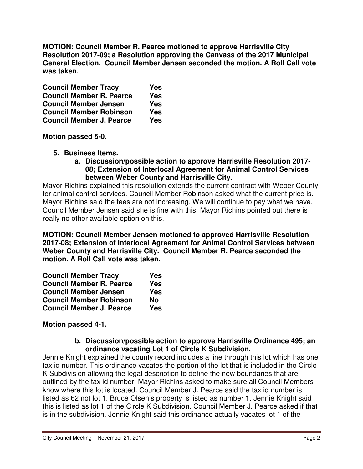**MOTION: Council Member R. Pearce motioned to approve Harrisville City Resolution 2017-09; a Resolution approving the Canvass of the 2017 Municipal General Election. Council Member Jensen seconded the motion. A Roll Call vote was taken.** 

| <b>Council Member Tracy</b>     | <b>Yes</b> |
|---------------------------------|------------|
| <b>Council Member R. Pearce</b> | <b>Yes</b> |
| <b>Council Member Jensen</b>    | <b>Yes</b> |
| <b>Council Member Robinson</b>  | <b>Yes</b> |
| <b>Council Member J. Pearce</b> | <b>Yes</b> |

**Motion passed 5-0.** 

- **5. Business Items.**
	- **a. Discussion/possible action to approve Harrisville Resolution 2017- 08; Extension of Interlocal Agreement for Animal Control Services between Weber County and Harrisville City.**

Mayor Richins explained this resolution extends the current contract with Weber County for animal control services. Council Member Robinson asked what the current price is. Mayor Richins said the fees are not increasing. We will continue to pay what we have. Council Member Jensen said she is fine with this. Mayor Richins pointed out there is really no other available option on this.

**MOTION: Council Member Jensen motioned to approved Harrisville Resolution 2017-08; Extension of Interlocal Agreement for Animal Control Services between Weber County and Harrisville City. Council Member R. Pearce seconded the motion. A Roll Call vote was taken.** 

| <b>Council Member Tracy</b>     | <b>Yes</b> |
|---------------------------------|------------|
| <b>Council Member R. Pearce</b> | <b>Yes</b> |
| <b>Council Member Jensen</b>    | <b>Yes</b> |
| <b>Council Member Robinson</b>  | <b>No</b>  |
| <b>Council Member J. Pearce</b> | <b>Yes</b> |

**Motion passed 4-1.** 

#### **b. Discussion/possible action to approve Harrisville Ordinance 495; an ordinance vacating Lot 1 of Circle K Subdivision.**

Jennie Knight explained the county record includes a line through this lot which has one tax id number. This ordinance vacates the portion of the lot that is included in the Circle K Subdivision allowing the legal description to define the new boundaries that are outlined by the tax id number. Mayor Richins asked to make sure all Council Members know where this lot is located. Council Member J. Pearce said the tax id number is listed as 62 not lot 1. Bruce Olsen's property is listed as number 1. Jennie Knight said this is listed as lot 1 of the Circle K Subdivision. Council Member J. Pearce asked if that is in the subdivision. Jennie Knight said this ordinance actually vacates lot 1 of the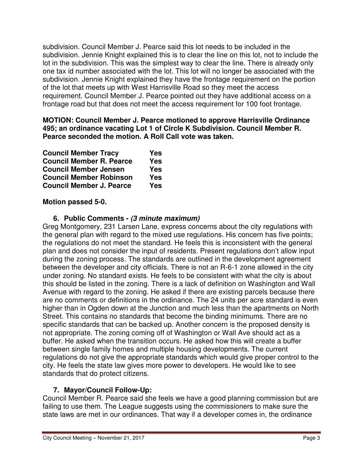subdivision. Council Member J. Pearce said this lot needs to be included in the subdivision. Jennie Knight explained this is to clear the line on this lot, not to include the lot in the subdivision. This was the simplest way to clear the line. There is already only one tax id number associated with the lot. This lot will no longer be associated with the subdivision. Jennie Knight explained they have the frontage requirement on the portion of the lot that meets up with West Harrisville Road so they meet the access requirement. Council Member J. Pearce pointed out they have additional access on a frontage road but that does not meet the access requirement for 100 foot frontage.

**MOTION: Council Member J. Pearce motioned to approve Harrisville Ordinance 495; an ordinance vacating Lot 1 of Circle K Subdivision. Council Member R. Pearce seconded the motion. A Roll Call vote was taken.** 

| <b>Council Member Tracy</b>     | <b>Yes</b> |
|---------------------------------|------------|
| <b>Council Member R. Pearce</b> | <b>Yes</b> |
| <b>Council Member Jensen</b>    | Yes        |
| <b>Council Member Robinson</b>  | <b>Yes</b> |
| <b>Council Member J. Pearce</b> | Yes        |

# **Motion passed 5-0.**

# **6. Public Comments - (3 minute maximum)**

Greg Montgomery, 231 Larsen Lane, express concerns about the city regulations with the general plan with regard to the mixed use regulations. His concern has five points; the regulations do not meet the standard. He feels this is inconsistent with the general plan and does not consider the input of residents. Present regulations don't allow input during the zoning process. The standards are outlined in the development agreement between the developer and city officials. There is not an R-6-1 zone allowed in the city under zoning. No standard exists. He feels to be consistent with what the city is about this should be listed in the zoning. There is a lack of definition on Washington and Wall Avenue with regard to the zoning. He asked if there are existing parcels because there are no comments or definitions in the ordinance. The 24 units per acre standard is even higher than in Ogden down at the Junction and much less than the apartments on North Street. This contains no standards that become the binding minimums. There are no specific standards that can be backed up. Another concern is the proposed density is not appropriate. The zoning coming off of Washington or Wall Ave should act as a buffer. He asked when the transition occurs. He asked how this will create a buffer between single family homes and multiple housing developments. The current regulations do not give the appropriate standards which would give proper control to the city. He feels the state law gives more power to developers. He would like to see standards that do protect citizens.

# **7. Mayor/Council Follow-Up:**

Council Member R. Pearce said she feels we have a good planning commission but are failing to use them. The League suggests using the commissioners to make sure the state laws are met in our ordinances. That way if a developer comes in, the ordinance